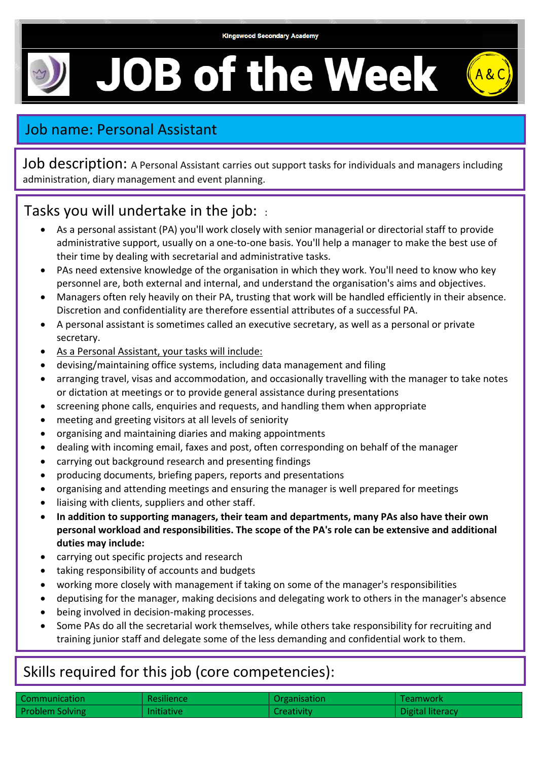## **JOB of the Week**



Job description: A Personal Assistant carries out support tasks for individuals and managers including administration, diary management and event planning.

## Tasks you will undertake in the job: :

- As a personal assistant (PA) you'll work closely with senior managerial or directorial staff to provide administrative support, usually on a one-to-one basis. You'll help a manager to make the best use of their time by dealing with secretarial and administrative tasks.
- PAs need extensive knowledge of the organisation in which they work. You'll need to know who key personnel are, both external and internal, and understand the organisation's aims and objectives.
- Managers often rely heavily on their PA, trusting that work will be handled efficiently in their absence. Discretion and confidentiality are therefore essential attributes of a successful PA.
- A personal assistant is sometimes called an executive secretary, as well as a personal or private secretary.
- As a Personal Assistant, your tasks will include:
- devising/maintaining office systems, including data management and filing
- arranging travel, visas and accommodation, and occasionally travelling with the manager to take notes or dictation at meetings or to provide general assistance during presentations
- screening phone calls, enquiries and requests, and handling them when appropriate
- meeting and greeting visitors at all levels of seniority
- organising and maintaining diaries and making appointments
- dealing with incoming email, faxes and post, often corresponding on behalf of the manager
- carrying out background research and presenting findings
- producing documents, briefing papers, reports and presentations
- organising and attending meetings and ensuring the manager is well prepared for meetings
- liaising with clients, suppliers and other staff.
- **In addition to supporting managers, their team and departments, many PAs also have their own personal workload and responsibilities. The scope of the PA's role can be extensive and additional duties may include:**
- carrying out specific projects and research
- taking responsibility of accounts and budgets
- working more closely with management if taking on some of the manager's responsibilities
- deputising for the manager, making decisions and delegating work to others in the manager's absence
- being involved in decision-making processes.
- Some PAs do all the secretarial work themselves, while others take responsibility for recruiting and training junior staff and delegate some of the less demanding and confidential work to them.

## Skills required for this job (core competencies):

| Communication          | Resilience        | Organisation | Teamwork         |
|------------------------|-------------------|--------------|------------------|
| <b>Problem Solving</b> | <b>Initiative</b> | Creativity   | Digital literacy |